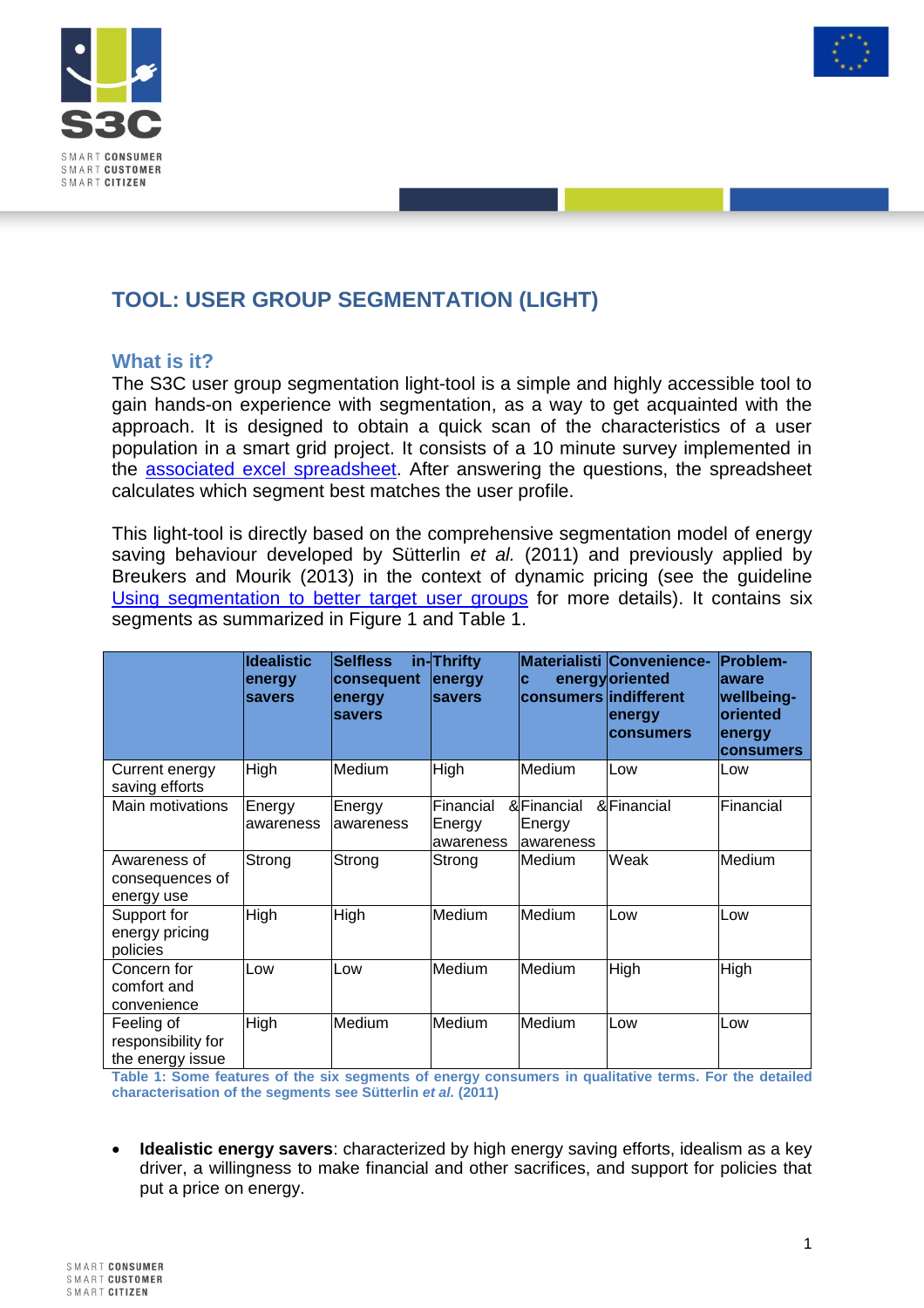



## **TOOL: USER GROUP SEGMENTATION (LIGHT)**

### **What is it?**

The S3C user group segmentation light-tool is a simple and highly accessible tool to gain hands-on experience with segmentation, as a way to get acquainted with the approach. It is designed to obtain a quick scan of the characteristics of a user population in a smart grid project. It consists of a 10 minute survey implemented in the [associated excel spreadsheet.](http://www.smartgrid-engagement-toolkit.eu/fileadmin/s3ctoolkit/user/guidelines/TOOL_USER_GROUP_SEGMENTATION__LIGHT_.xlsx) After answering the questions, the spreadsheet calculates which segment best matches the user profile.

This light-tool is directly based on the comprehensive segmentation model of energy saving behaviour developed by Sütterlin *et al.* (2011) and previously applied by Breukers and Mourik (2013) in the context of dynamic pricing (see the guideline [Using segmentation to better target user groups](http://www.smartgrid-engagement-toolkit.eu/fileadmin/s3ctoolkit/user/guidelines/GUIDELINE_USING_SEGMENTATION_TO_BETTER_TARGET_USER_GROUPS.pdf) for more details). It contains six segments as summarized in [Figure 1](#page-1-0) and [Table 1.](#page-0-0)

|                                                      | <b>Idealistic</b><br>energy<br>savers | <b>Selfless</b><br>consequent<br>energy<br><b>savers</b> | in-Thrifty<br>energy<br><b>savers</b> | C<br>consumers indifferent         | <b>Materialisti Convenience-</b><br>energyloriented<br>energy<br><b>consumers</b> | <b>Problem-</b><br>laware<br>wellbeing-<br><b>oriented</b><br>energy<br><b>consumers</b> |
|------------------------------------------------------|---------------------------------------|----------------------------------------------------------|---------------------------------------|------------------------------------|-----------------------------------------------------------------------------------|------------------------------------------------------------------------------------------|
| Current energy<br>saving efforts                     | High                                  | Medium                                                   | High                                  | Medium                             | Low                                                                               | <b>Low</b>                                                                               |
| Main motivations                                     | Energy<br>awareness                   | Energy<br>awareness                                      | Financial<br>Energy<br>awareness      | &Financial<br>Energy<br>lawareness | &Financial                                                                        | lFinancial                                                                               |
| Awareness of<br>consequences of<br>energy use        | Strong                                | Strong                                                   | Strong                                | Medium                             | Weak                                                                              | Medium                                                                                   |
| Support for<br>energy pricing<br>policies            | High                                  | High                                                     | Medium                                | Medium                             | Low                                                                               | Low                                                                                      |
| Concern for<br>comfort and<br>convenience            | Low                                   | Low                                                      | Medium                                | Medium                             | High                                                                              | High                                                                                     |
| Feeling of<br>responsibility for<br>the energy issue | High                                  | Medium                                                   | Medium                                | Medium                             | Low                                                                               | Low                                                                                      |

<span id="page-0-0"></span>**Table 1: Some features of the six segments of energy consumers in qualitative terms. For the detailed characterisation of the segments see Sütterlin** *et al.* **(2011)**

 **Idealistic energy savers**: characterized by high energy saving efforts, idealism as a key driver, a willingness to make financial and other sacrifices, and support for policies that put a price on energy.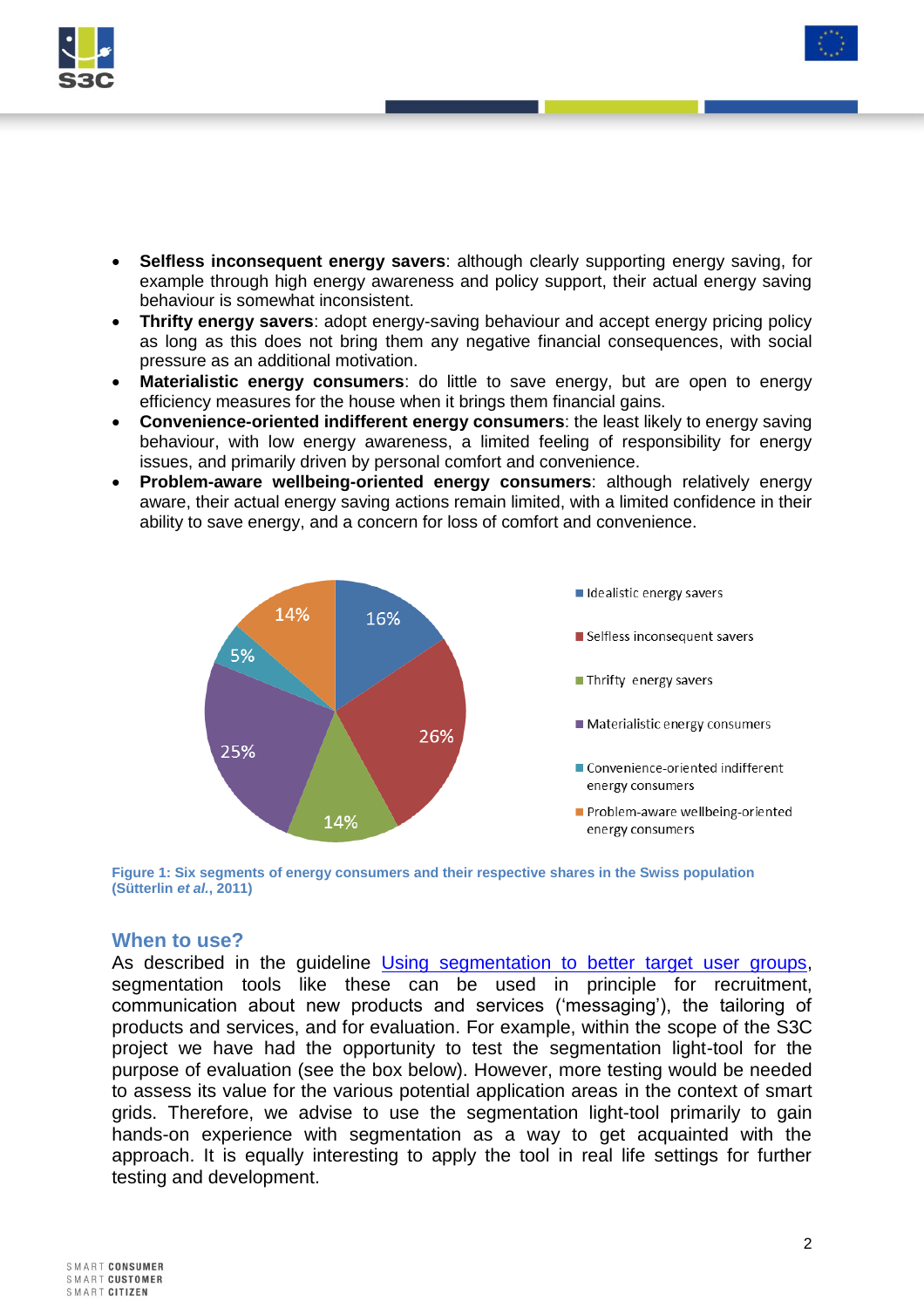

- **Selfless inconsequent energy savers**: although clearly supporting energy saving, for example through high energy awareness and policy support, their actual energy saving behaviour is somewhat inconsistent.
- **Thrifty energy savers**: adopt energy-saving behaviour and accept energy pricing policy as long as this does not bring them any negative financial consequences, with social pressure as an additional motivation.
- **Materialistic energy consumers**: do little to save energy, but are open to energy efficiency measures for the house when it brings them financial gains.
- **Convenience-oriented indifferent energy consumers**: the least likely to energy saving behaviour, with low energy awareness, a limited feeling of responsibility for energy issues, and primarily driven by personal comfort and convenience.
- **Problem-aware wellbeing-oriented energy consumers**: although relatively energy aware, their actual energy saving actions remain limited, with a limited confidence in their ability to save energy, and a concern for loss of comfort and convenience.



<span id="page-1-0"></span>**Figure 1: Six segments of energy consumers and their respective shares in the Swiss population (Sütterlin** *et al.***, 2011)**

#### **When to use?**

As described in the guideline [Using segmentation to better target user groups,](http://www.smartgrid-engagement-toolkit.eu/fileadmin/s3ctoolkit/user/guidelines/GUIDELINE_USING_SEGMENTATION_TO_BETTER_TARGET_USER_GROUPS.pdf) segmentation tools like these can be used in principle for recruitment, communication about new products and services ('messaging'), the tailoring of products and services, and for evaluation. For example, within the scope of the S3C project we have had the opportunity to test the segmentation light-tool for the purpose of evaluation (see the box below). However, more testing would be needed to assess its value for the various potential application areas in the context of smart grids. Therefore, we advise to use the segmentation light-tool primarily to gain hands-on experience with segmentation as a way to get acquainted with the approach. It is equally interesting to apply the tool in real life settings for further testing and development.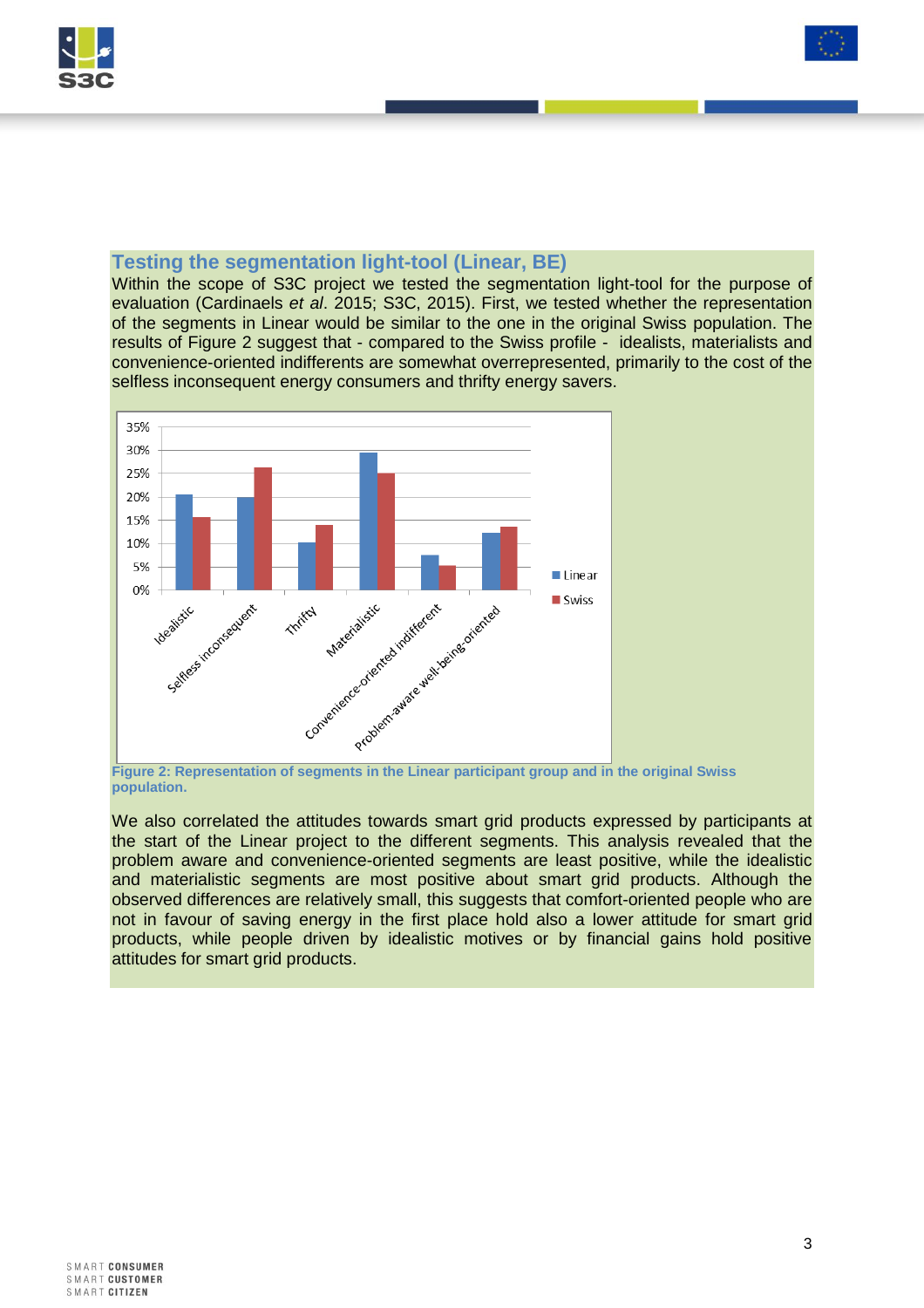



#### **Testing the segmentation light-tool (Linear, BE)**

Within the scope of S3C project we tested the segmentation light-tool for the purpose of evaluation (Cardinaels *et al*. 2015; S3C, 2015). First, we tested whether the representation of the segments in Linear would be similar to the one in the original Swiss population. The results of [Figure 2](#page-2-0) suggest that - compared to the Swiss profile - idealists, materialists and convenience-oriented indifferents are somewhat overrepresented, primarily to the cost of the selfless inconsequent energy consumers and thrifty energy savers.



<span id="page-2-0"></span>**population.**

We also correlated the attitudes towards smart grid products expressed by participants at the start of the Linear project to the different segments. This analysis revealed that the problem aware and convenience-oriented segments are least positive, while the idealistic and materialistic segments are most positive about smart grid products. Although the observed differences are relatively small, this suggests that comfort-oriented people who are not in favour of saving energy in the first place hold also a lower attitude for smart grid products, while people driven by idealistic motives or by financial gains hold positive attitudes for smart grid products.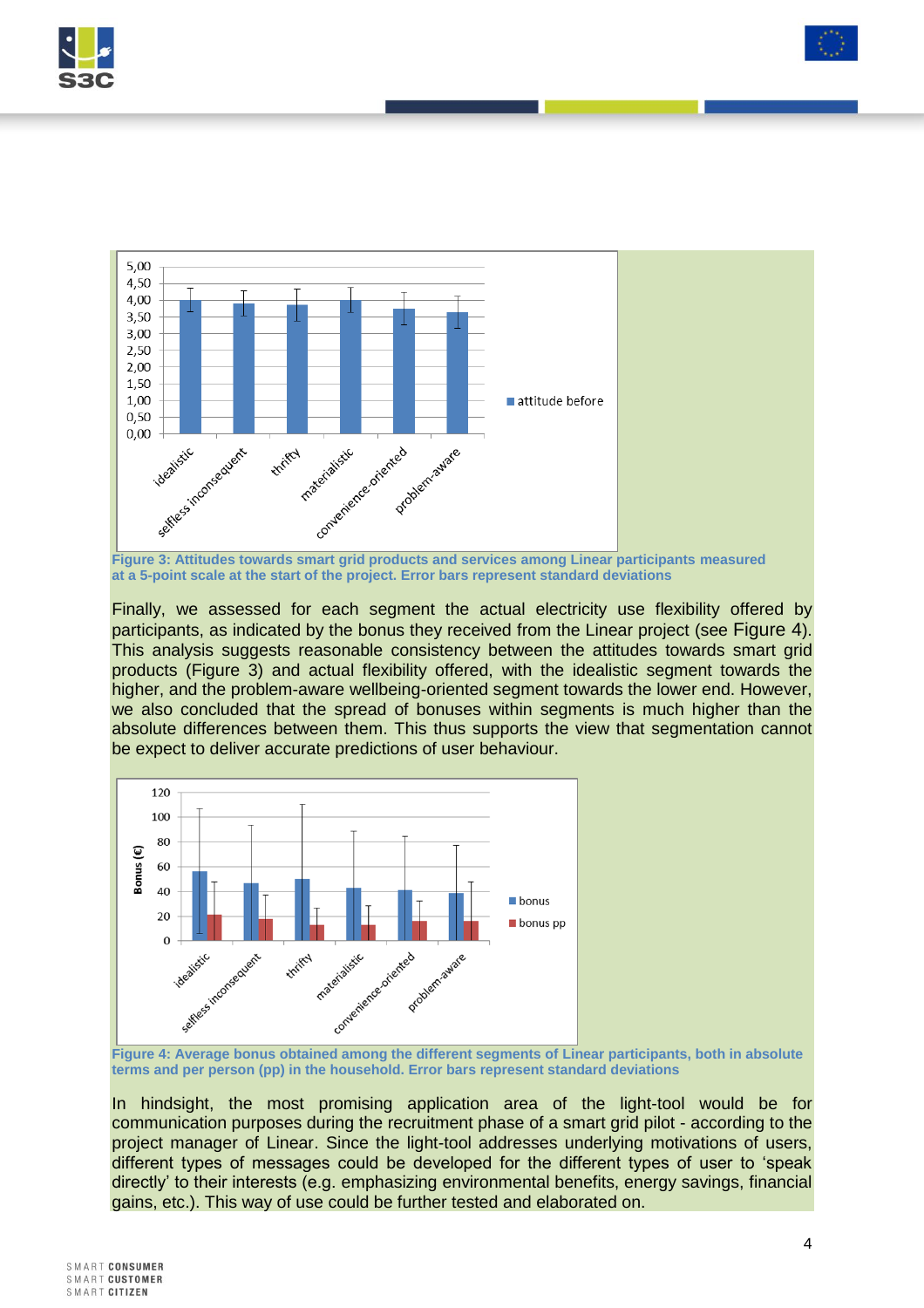



**Figure 3: Attitudes towards smart grid products and services among Linear participants measured at a 5-point scale at the start of the project. Error bars represent standard deviations**

<span id="page-3-1"></span>Finally, we assessed for each segment the actual electricity use flexibility offered by participants, as indicated by the bonus they received from the Linear project (see [Figure 4](#page-3-0)). This analysis suggests reasonable consistency between the attitudes towards smart grid products [\(Figure 3\)](#page-3-1) and actual flexibility offered, with the idealistic segment towards the higher, and the problem-aware wellbeing-oriented segment towards the lower end. However, we also concluded that the spread of bonuses within segments is much higher than the absolute differences between them. This thus supports the view that segmentation cannot be expect to deliver accurate predictions of user behaviour.



<span id="page-3-0"></span>**Figure 4: Average bonus obtained among the different segments of Linear participants, both in absolute terms and per person (pp) in the household. Error bars represent standard deviations**

In hindsight, the most promising application area of the light-tool would be for communication purposes during the recruitment phase of a smart grid pilot - according to the project manager of Linear. Since the light-tool addresses underlying motivations of users, different types of messages could be developed for the different types of user to 'speak directly' to their interests (e.g. emphasizing environmental benefits, energy savings, financial gains, etc.). This way of use could be further tested and elaborated on.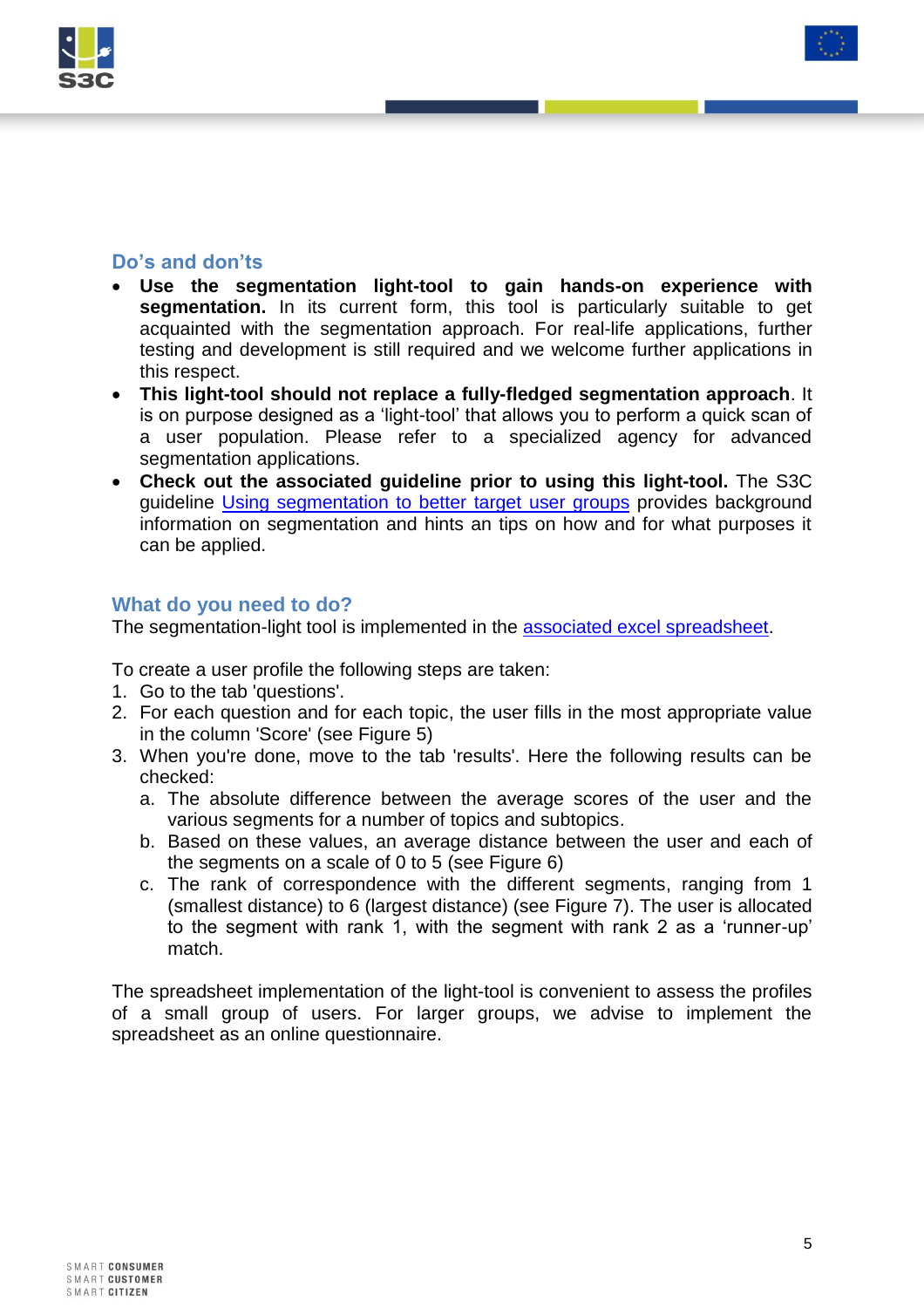



## **Do's and don'ts**

- **Use the segmentation light-tool to gain hands-on experience with segmentation.** In its current form, this tool is particularly suitable to get acquainted with the segmentation approach. For real-life applications, further testing and development is still required and we welcome further applications in this respect.
- **This light-tool should not replace a fully-fledged segmentation approach**. It is on purpose designed as a 'light-tool' that allows you to perform a quick scan of a user population. Please refer to a specialized agency for advanced segmentation applications.
- **Check out the associated guideline prior to using this light-tool.** The S3C guideline [Using segmentation to better target user groups](http://www.smartgrid-engagement-toolkit.eu/fileadmin/s3ctoolkit/user/guidelines/GUIDELINE_USING_SEGMENTATION_TO_BETTER_TARGET_USER_GROUPS.pdf) provides background information on segmentation and hints an tips on how and for what purposes it can be applied.

## **What do you need to do?**

The segmentation-light tool is implemented in the [associated excel spreadsheet.](http://www.smartgrid-engagement-toolkit.eu/fileadmin/s3ctoolkit/user/guidelines/TOOL_USER_GROUP_SEGMENTATION__LIGHT_.xlsx)

To create a user profile the following steps are taken:

- 1. Go to the tab 'questions'.
- 2. For each question and for each topic, the user fills in the most appropriate value in the column 'Score' (see [Figure 5\)](#page-5-0)
- 3. When you're done, move to the tab 'results'. Here the following results can be checked:
	- a. The absolute difference between the average scores of the user and the various segments for a number of topics and subtopics.
	- b. Based on these values, an average distance between the user and each of the segments on a scale of 0 to 5 (see [Figure 6\)](#page-5-1)
	- c. The rank of correspondence with the different segments, ranging from 1 (smallest distance) to 6 (largest distance) (see [Figure 7\)](#page-5-2). The user is allocated to the segment with rank 1, with the segment with rank 2 as a 'runner-up' match.

The spreadsheet implementation of the light-tool is convenient to assess the profiles of a small group of users. For larger groups, we advise to implement the spreadsheet as an online questionnaire.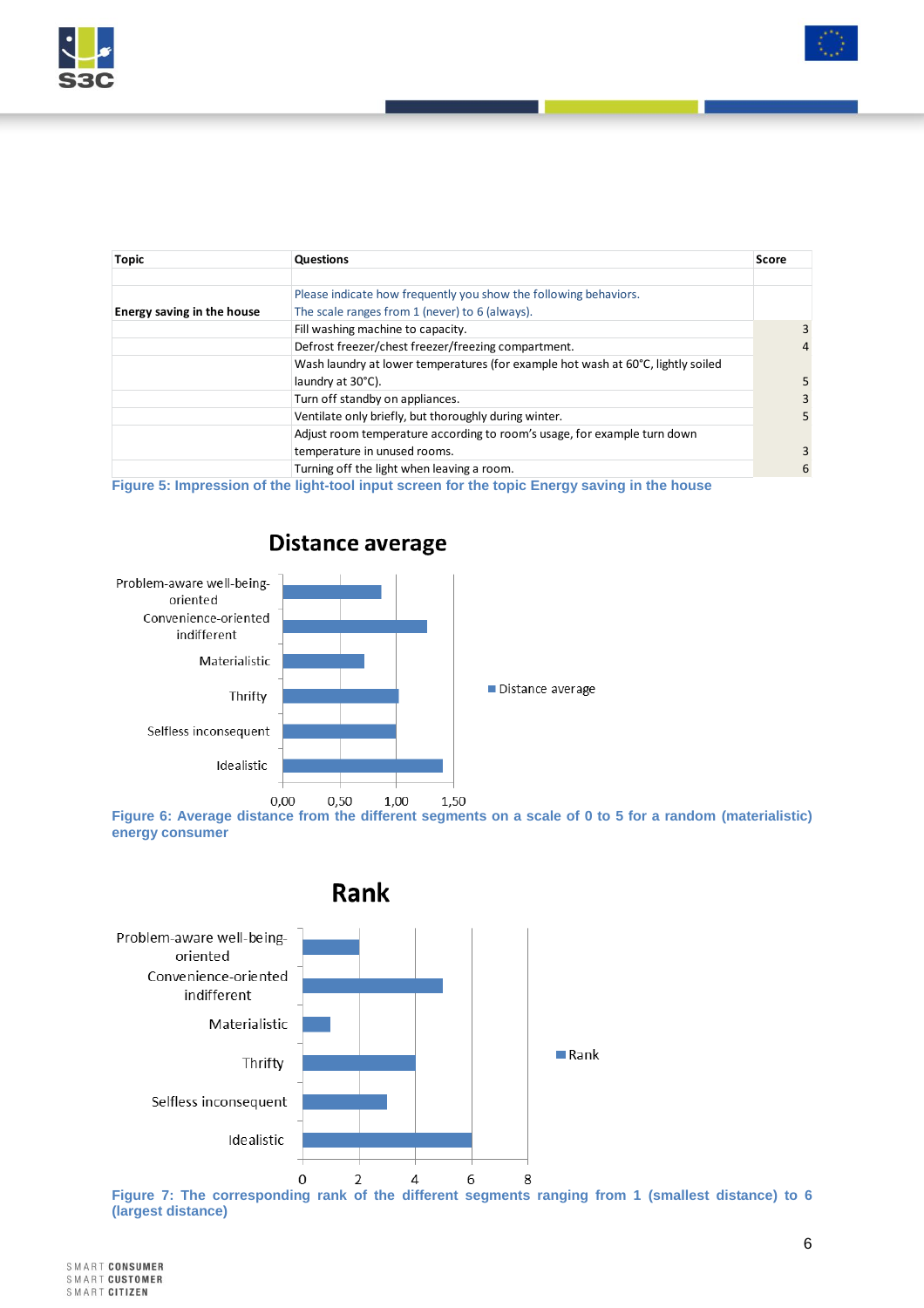

| <b>Topic</b>               | Questions                                                                        | Score          |
|----------------------------|----------------------------------------------------------------------------------|----------------|
|                            |                                                                                  |                |
|                            | Please indicate how frequently you show the following behaviors.                 |                |
| Energy saving in the house | The scale ranges from 1 (never) to 6 (always).                                   |                |
|                            | Fill washing machine to capacity.                                                | 3              |
|                            | Defrost freezer/chest freezer/freezing compartment.                              | $\overline{4}$ |
|                            | Wash laundry at lower temperatures (for example hot wash at 60°C, lightly soiled |                |
|                            | laundry at 30°C).                                                                | 5              |
|                            | Turn off standby on appliances.                                                  | 3              |
|                            | Ventilate only briefly, but thoroughly during winter.                            | 5.             |
|                            | Adjust room temperature according to room's usage, for example turn down         |                |
|                            | temperature in unused rooms.                                                     | 3              |
|                            | Turning off the light when leaving a room.                                       | 6              |
| $-$                        |                                                                                  |                |

<span id="page-5-0"></span>**Figure 5: Impression of the light-tool input screen for the topic Energy saving in the house**



# **Distance average**

<span id="page-5-1"></span>**Figure 6: Average distance from the different segments on a scale of 0 to 5 for a random (materialistic) energy consumer**



<span id="page-5-2"></span>**Figure 7: The corresponding rank of the different segments ranging from 1 (smallest distance) to 6 (largest distance)**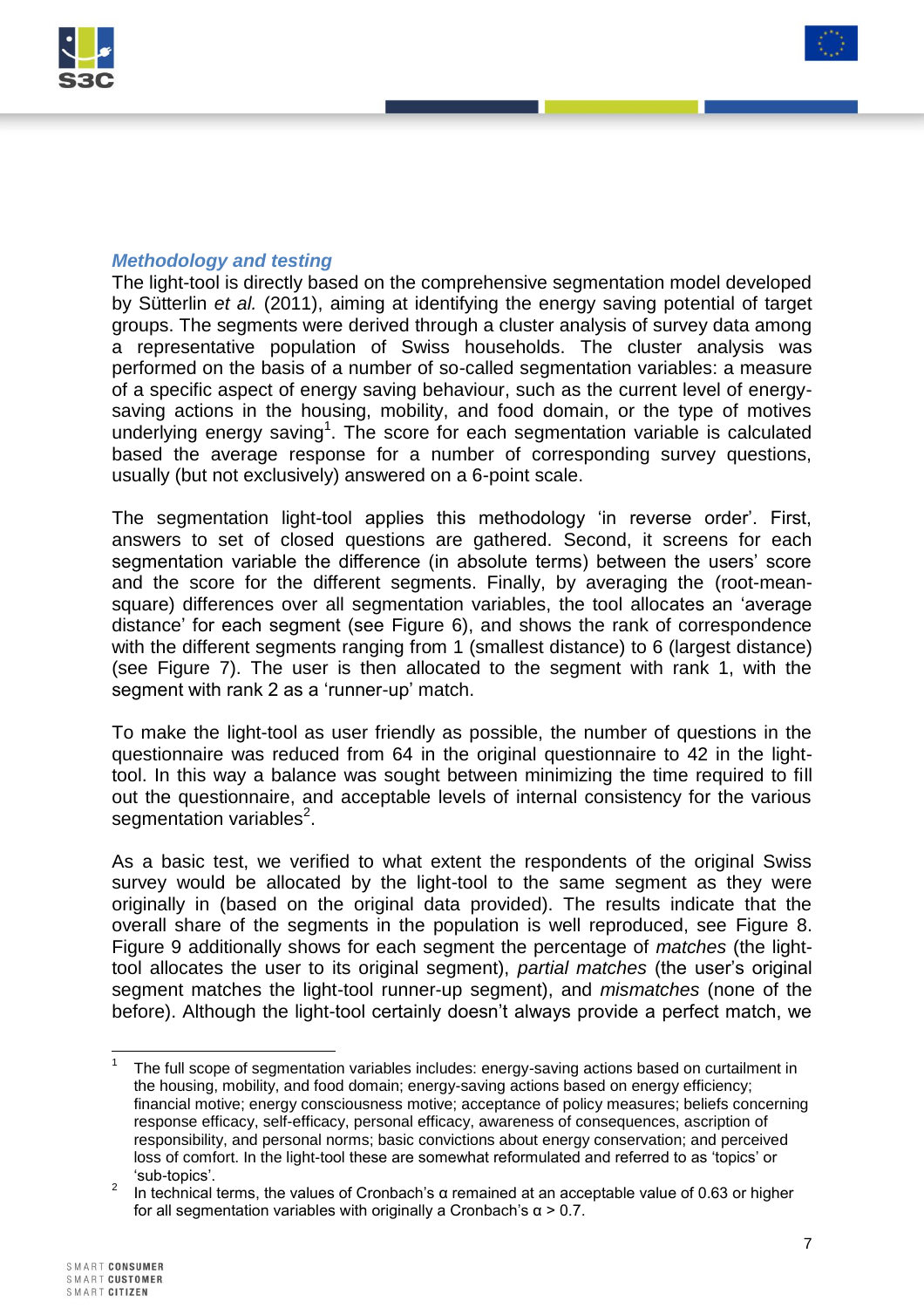



### *Methodology and testing*

The light-tool is directly based on the comprehensive segmentation model developed by Sütterlin *et al.* (2011), aiming at identifying the energy saving potential of target groups. The segments were derived through a cluster analysis of survey data among a representative population of Swiss households. The cluster analysis was performed on the basis of a number of so-called segmentation variables: a measure of a specific aspect of energy saving behaviour, such as the current level of energysaving actions in the housing, mobility, and food domain, or the type of motives underlying energy saving<sup>1</sup>. The score for each segmentation variable is calculated based the average response for a number of corresponding survey questions, usually (but not exclusively) answered on a 6-point scale.

The segmentation light-tool applies this methodology 'in reverse order'. First, answers to set of closed questions are gathered. Second, it screens for each segmentation variable the difference (in absolute terms) between the users' score and the score for the different segments. Finally, by averaging the (root-meansquare) differences over all segmentation variables, the tool allocates an 'average distance' for each segment (see [Figure 6\)](#page-5-1), and shows the rank of correspondence with the different segments ranging from 1 (smallest distance) to 6 (largest distance) (see [Figure 7\)](#page-5-2). The user is then allocated to the segment with rank 1, with the segment with rank 2 as a 'runner-up' match.

To make the light-tool as user friendly as possible, the number of questions in the questionnaire was reduced from 64 in the original questionnaire to 42 in the lighttool. In this way a balance was sought between minimizing the time required to fill out the questionnaire, and acceptable levels of internal consistency for the various segmentation variables<sup>2</sup>.

As a basic test, we verified to what extent the respondents of the original Swiss survey would be allocated by the light-tool to the same segment as they were originally in (based on the original data provided). The results indicate that the overall share of the segments in the population is well reproduced, see [Figure 8.](#page-7-0) [Figure 9](#page-7-1) additionally shows for each segment the percentage of *matches* (the lighttool allocates the user to its original segment), *partial matches* (the user's original segment matches the light-tool runner-up segment), and *mismatches* (none of the before). Although the light-tool certainly doesn't always provide a perfect match, we

 $\overline{\phantom{a}}$ 1 The full scope of segmentation variables includes: energy-saving actions based on curtailment in the housing, mobility, and food domain; energy-saving actions based on energy efficiency; financial motive; energy consciousness motive; acceptance of policy measures; beliefs concerning response efficacy, self-efficacy, personal efficacy, awareness of consequences, ascription of responsibility, and personal norms; basic convictions about energy conservation; and perceived loss of comfort. In the light-tool these are somewhat reformulated and referred to as 'topics' or 'sub-topics'.

<sup>2</sup> In technical terms, the values of Cronbach's α remained at an acceptable value of 0.63 or higher for all segmentation variables with originally a Cronbach's α > 0.7.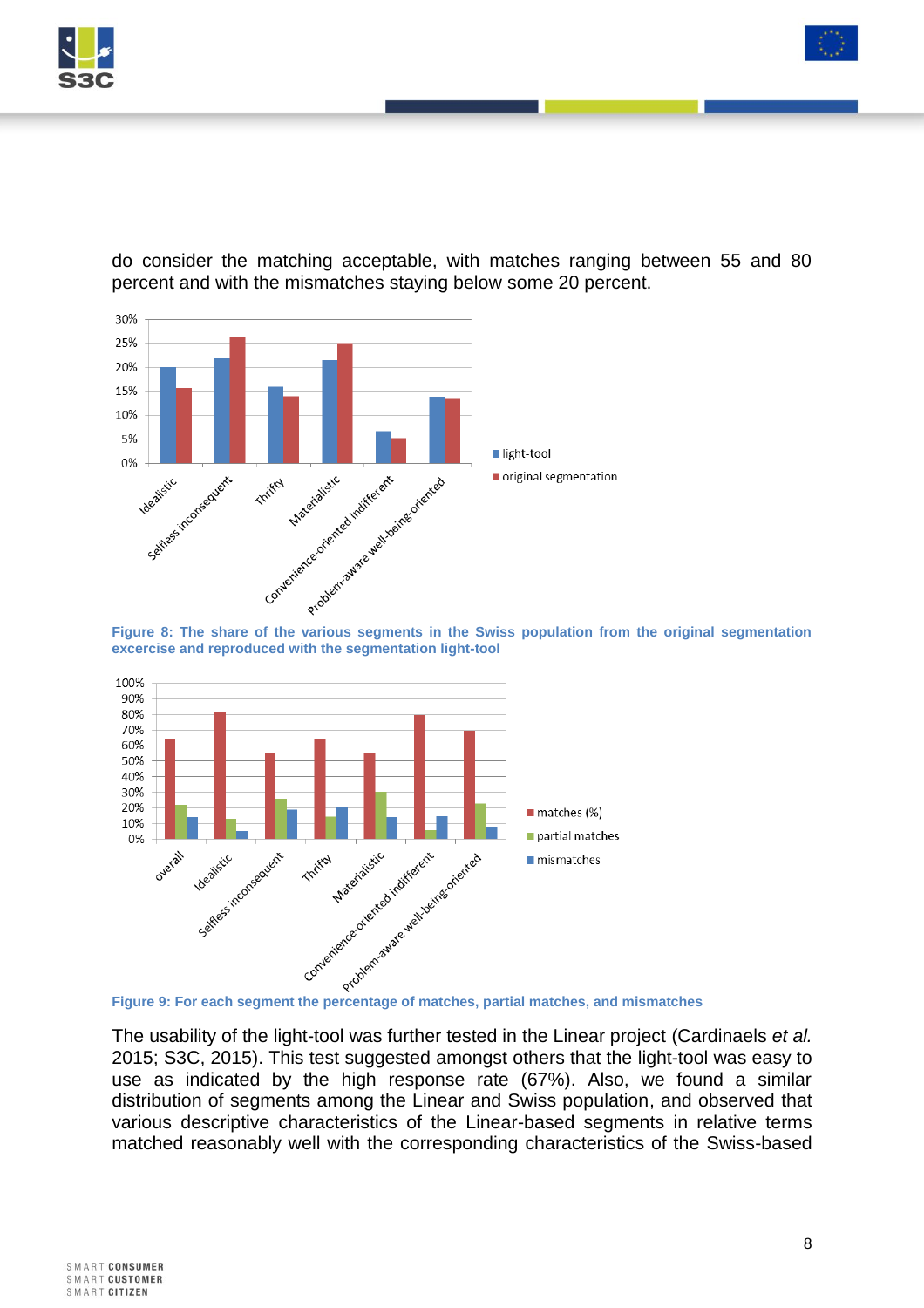



do consider the matching acceptable, with matches ranging between 55 and 80 percent and with the mismatches staying below some 20 percent.

<span id="page-7-0"></span>**excercise and reproduced with the segmentation light-tool**



<span id="page-7-1"></span>

The usability of the light-tool was further tested in the Linear project (Cardinaels *et al.* 2015; S3C, 2015). This test suggested amongst others that the light-tool was easy to use as indicated by the high response rate (67%). Also, we found a similar distribution of segments among the Linear and Swiss population, and observed that various descriptive characteristics of the Linear-based segments in relative terms matched reasonably well with the corresponding characteristics of the Swiss-based